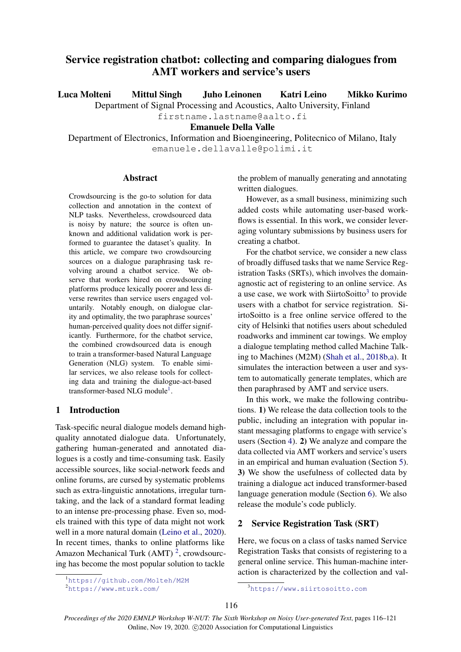# Service registration chatbot: collecting and comparing dialogues from AMT workers and service's users

Luca Molteni Mittul Singh Juho Leinonen Katri Leino Mikko Kurimo

Department of Signal Processing and Acoustics, Aalto University, Finland

firstname.lastname@aalto.fi

Emanuele Della Valle

Department of Electronics, Information and Bioengineering, Politecnico of Milano, Italy emanuele.dellavalle@polimi.it

# Abstract

Crowdsourcing is the go-to solution for data collection and annotation in the context of NLP tasks. Nevertheless, crowdsourced data is noisy by nature; the source is often unknown and additional validation work is performed to guarantee the dataset's quality. In this article, we compare two crowdsourcing sources on a dialogue paraphrasing task revolving around a chatbot service. We observe that workers hired on crowdsourcing platforms produce lexically poorer and less diverse rewrites than service users engaged voluntarily. Notably enough, on dialogue clarity and optimality, the two paraphrase sources' human-perceived quality does not differ significantly. Furthermore, for the chatbot service, the combined crowdsourced data is enough to train a transformer-based Natural Language Generation (NLG) system. To enable similar services, we also release tools for collecting data and training the dialogue-act-based transformer-based NLG module<sup>[1](#page-0-0)</sup>.

# 1 Introduction

Task-specific neural dialogue models demand highquality annotated dialogue data. Unfortunately, gathering human-generated and annotated dialogues is a costly and time-consuming task. Easily accessible sources, like social-network feeds and online forums, are cursed by systematic problems such as extra-linguistic annotations, irregular turntaking, and the lack of a standard format leading to an intense pre-processing phase. Even so, models trained with this type of data might not work well in a more natural domain [\(Leino et al.,](#page-4-0) [2020\)](#page-4-0). In recent times, thanks to online platforms like Amazon Mechanical Turk (AMT)<sup>[2](#page-0-1)</sup>, crowdsourcing has become the most popular solution to tackle

the problem of manually generating and annotating written dialogues.

However, as a small business, minimizing such added costs while automating user-based workflows is essential. In this work, we consider leveraging voluntary submissions by business users for creating a chatbot.

For the chatbot service, we consider a new class of broadly diffused tasks that we name Service Registration Tasks (SRTs), which involves the domainagnostic act of registering to an online service. As a use case, we work with SiirtoSoitto $3$  to provide users with a chatbot for service registration. SiirtoSoitto is a free online service offered to the city of Helsinki that notifies users about scheduled roadworks and imminent car towings. We employ a dialogue templating method called Machine Talking to Machines (M2M) [\(Shah et al.,](#page-5-0) [2018b,](#page-5-0)[a\)](#page-5-1). It simulates the interaction between a user and system to automatically generate templates, which are then paraphrased by AMT and service users.

In this work, we make the following contributions. 1) We release the data collection tools to the public, including an integration with popular instant messaging platforms to engage with service's users (Section [4\)](#page-1-0). 2) We analyze and compare the data collected via AMT workers and service's users in an empirical and human evaluation (Section [5\)](#page-2-0). 3) We show the usefulness of collected data by training a dialogue act induced transformer-based language generation module (Section [6\)](#page-3-0). We also release the module's code publicly.

# 2 Service Registration Task (SRT)

Here, we focus on a class of tasks named Service Registration Tasks that consists of registering to a general online service. This human-machine interaction is characterized by the collection and val-

<span id="page-0-0"></span><sup>1</sup><https://github.com/Molteh/M2M>

<span id="page-0-1"></span><sup>2</sup><https://www.mturk.com/>

<span id="page-0-2"></span><sup>3</sup><https://www.siirtosoitto.com>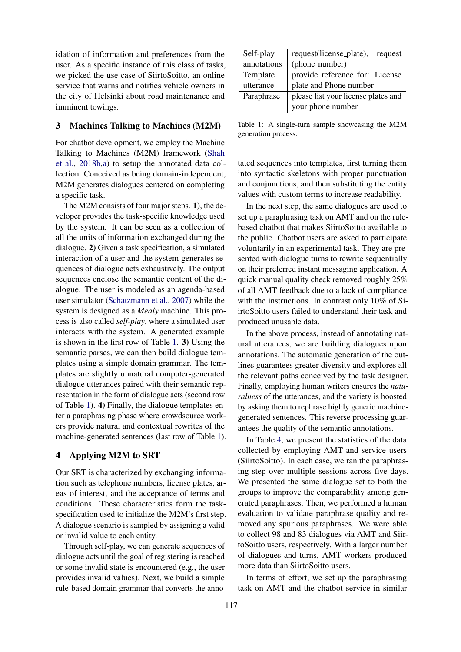idation of information and preferences from the user. As a specific instance of this class of tasks, we picked the use case of SiirtoSoitto, an online service that warns and notifies vehicle owners in the city of Helsinki about road maintenance and imminent towings.

# 3 Machines Talking to Machines (M2M)

For chatbot development, we employ the Machine Talking to Machines (M2M) framework [\(Shah](#page-5-0) [et al.,](#page-5-0) [2018b,](#page-5-0)[a\)](#page-5-1) to setup the annotated data collection. Conceived as being domain-independent, M2M generates dialogues centered on completing a specific task.

The M2M consists of four major steps. 1), the developer provides the task-specific knowledge used by the system. It can be seen as a collection of all the units of information exchanged during the dialogue. 2) Given a task specification, a simulated interaction of a user and the system generates sequences of dialogue acts exhaustively. The output sequences enclose the semantic content of the dialogue. The user is modeled as an agenda-based user simulator [\(Schatzmann et al.,](#page-4-1) [2007\)](#page-4-1) while the system is designed as a *Mealy* machine. This process is also called *self-play*, where a simulated user interacts with the system. A generated example is shown in the first row of Table [1.](#page-1-1) 3) Using the semantic parses, we can then build dialogue templates using a simple domain grammar. The templates are slightly unnatural computer-generated dialogue utterances paired with their semantic representation in the form of dialogue acts (second row of Table [1\)](#page-1-1). 4) Finally, the dialogue templates enter a paraphrasing phase where crowdsource workers provide natural and contextual rewrites of the machine-generated sentences (last row of Table [1\)](#page-1-1).

### <span id="page-1-0"></span>4 Applying M2M to SRT

Our SRT is characterized by exchanging information such as telephone numbers, license plates, areas of interest, and the acceptance of terms and conditions. These characteristics form the taskspecification used to initialize the M2M's first step. A dialogue scenario is sampled by assigning a valid or invalid value to each entity.

Through self-play, we can generate sequences of dialogue acts until the goal of registering is reached or some invalid state is encountered (e.g., the user provides invalid values). Next, we build a simple rule-based domain grammar that converts the anno-

<span id="page-1-1"></span>

| Self-play   | request(license_plate),<br>request  |  |
|-------------|-------------------------------------|--|
| annotations | (phone_number)                      |  |
| Template    | provide reference for: License      |  |
| utterance   | plate and Phone number              |  |
| Paraphrase  | please list your license plates and |  |
|             | your phone number                   |  |

Table 1: A single-turn sample showcasing the M2M generation process.

tated sequences into templates, first turning them into syntactic skeletons with proper punctuation and conjunctions, and then substituting the entity values with custom terms to increase readability.

In the next step, the same dialogues are used to set up a paraphrasing task on AMT and on the rulebased chatbot that makes SiirtoSoitto available to the public. Chatbot users are asked to participate voluntarily in an experimental task. They are presented with dialogue turns to rewrite sequentially on their preferred instant messaging application. A quick manual quality check removed roughly 25% of all AMT feedback due to a lack of compliance with the instructions. In contrast only 10% of SiirtoSoitto users failed to understand their task and produced unusable data.

In the above process, instead of annotating natural utterances, we are building dialogues upon annotations. The automatic generation of the outlines guarantees greater diversity and explores all the relevant paths conceived by the task designer. Finally, employing human writers ensures the *naturalness* of the utterances, and the variety is boosted by asking them to rephrase highly generic machinegenerated sentences. This reverse processing guarantees the quality of the semantic annotations.

In Table [4,](#page-3-1) we present the statistics of the data collected by employing AMT and service users (SiirtoSoitto). In each case, we ran the paraphrasing step over multiple sessions across five days. We presented the same dialogue set to both the groups to improve the comparability among generated paraphrases. Then, we performed a human evaluation to validate paraphrase quality and removed any spurious paraphrases. We were able to collect 98 and 83 dialogues via AMT and SiirtoSoitto users, respectively. With a larger number of dialogues and turns, AMT workers produced more data than SiirtoSoitto users.

In terms of effort, we set up the paraphrasing task on AMT and the chatbot service in similar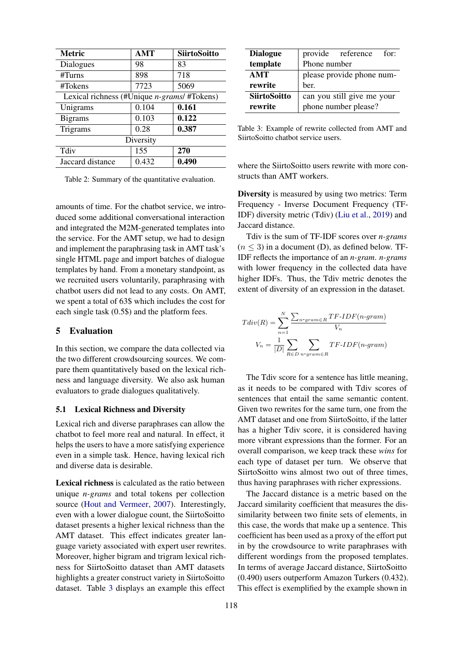| <b>Metric</b>                                       | AMT   | <b>SiirtoSoitto</b> |  |  |  |
|-----------------------------------------------------|-------|---------------------|--|--|--|
| Dialogues                                           | 98    | 83                  |  |  |  |
| #T turns                                            | 898   | 718                 |  |  |  |
| #Tokens                                             | 7723  | 5069                |  |  |  |
| Lexical richness (#Unique <i>n-grams</i> / #Tokens) |       |                     |  |  |  |
| Unigrams                                            | 0.104 | 0.161               |  |  |  |
| <b>Bigrams</b>                                      | 0.103 | 0.122               |  |  |  |
| Trigrams                                            | 0.28  | 0.387               |  |  |  |
| Diversity                                           |       |                     |  |  |  |
| Tdiv                                                | 155   | 270                 |  |  |  |
| Jaccard distance                                    | 0.432 | 0.490               |  |  |  |

Table 2: Summary of the quantitative evaluation.

amounts of time. For the chatbot service, we introduced some additional conversational interaction and integrated the M2M-generated templates into the service. For the AMT setup, we had to design and implement the paraphrasing task in AMT task's single HTML page and import batches of dialogue templates by hand. From a monetary standpoint, as we recruited users voluntarily, paraphrasing with chatbot users did not lead to any costs. On AMT, we spent a total of 63\$ which includes the cost for each single task (0.5\$) and the platform fees.

# <span id="page-2-0"></span>5 Evaluation

In this section, we compare the data collected via the two different crowdsourcing sources. We compare them quantitatively based on the lexical richness and language diversity. We also ask human evaluators to grade dialogues qualitatively.

#### 5.1 Lexical Richness and Diversity

Lexical rich and diverse paraphrases can allow the chatbot to feel more real and natural. In effect, it helps the users to have a more satisfying experience even in a simple task. Hence, having lexical rich and diverse data is desirable.

Lexical richness is calculated as the ratio between unique *n-grams* and total tokens per collection source [\(Hout and Vermeer,](#page-4-2) [2007\)](#page-4-2). Interestingly, even with a lower dialogue count, the SiirtoSoitto dataset presents a higher lexical richness than the AMT dataset. This effect indicates greater language variety associated with expert user rewrites. Moreover, higher bigram and trigram lexical richness for SiirtoSoitto dataset than AMT datasets highlights a greater construct variety in SiirtoSoitto dataset. Table [3](#page-2-1) displays an example this effect

<span id="page-2-1"></span>

| <b>Dialogue</b>     |                            | provide reference    | for: |  |
|---------------------|----------------------------|----------------------|------|--|
| template            | Phone number               |                      |      |  |
| <b>AMT</b>          | please provide phone num-  |                      |      |  |
| rewrite             | ber.                       |                      |      |  |
| <b>SiirtoSoitto</b> | can you still give me your |                      |      |  |
| rewrite             |                            | phone number please? |      |  |

Table 3: Example of rewrite collected from AMT and SiirtoSoitto chatbot service users.

where the SiirtoSoitto users rewrite with more constructs than AMT workers.

Diversity is measured by using two metrics: Term Frequency - Inverse Document Frequency (TF-IDF) diversity metric (Tdiv) [\(Liu et al.,](#page-4-3) [2019\)](#page-4-3) and Jaccard distance.

Tdiv is the sum of TF-IDF scores over *n-grams*  $(n \leq 3)$  in a document (D), as defined below. TF-IDF reflects the importance of an *n-gram*. *n-grams* with lower frequency in the collected data have higher IDFs. Thus, the Tdiv metric denotes the extent of diversity of an expression in the dataset.

$$
Tdiv(R) = \sum_{n=1}^{N} \frac{\sum_{n-grameR} TF\text{-}IDF(n-gram)}{V_n}
$$

$$
V_n = \frac{1}{|D|} \sum_{R \in D} \sum_{n-grameR} TF\text{-}IDF(n-gram)
$$

The Tdiv score for a sentence has little meaning, as it needs to be compared with Tdiv scores of sentences that entail the same semantic content. Given two rewrites for the same turn, one from the AMT dataset and one from SiirtoSoitto, if the latter has a higher Tdiv score, it is considered having more vibrant expressions than the former. For an overall comparison, we keep track these *wins* for each type of dataset per turn. We observe that SiirtoSoitto wins almost two out of three times, thus having paraphrases with richer expressions.

The Jaccard distance is a metric based on the Jaccard similarity coefficient that measures the dissimilarity between two finite sets of elements, in this case, the words that make up a sentence. This coefficient has been used as a proxy of the effort put in by the crowdsource to write paraphrases with different wordings from the proposed templates. In terms of average Jaccard distance, SiirtoSoitto (0.490) users outperform Amazon Turkers (0.432). This effect is exemplified by the example shown in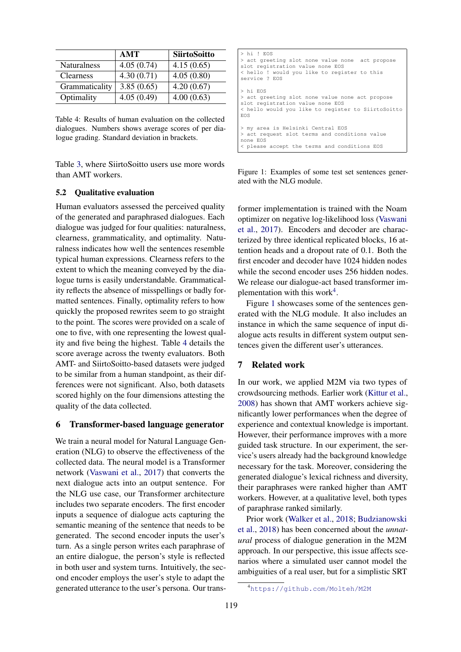<span id="page-3-1"></span>

|                    | AMT        | <b>SiirtoSoitto</b> |
|--------------------|------------|---------------------|
| <b>Naturalness</b> | 4.05(0.74) | 4.15(0.65)          |
| <b>Clearness</b>   | 4.30(0.71) | 4.05(0.80)          |
| Grammaticality     | 3.85(0.65) | 4.20(0.67)          |
| Optimality         | 4.05(0.49) | 4.00(0.63)          |

Table 4: Results of human evaluation on the collected dialogues. Numbers shows average scores of per dialogue grading. Standard deviation in brackets.

Table [3,](#page-2-1) where SiirtoSoitto users use more words than AMT workers.

### 5.2 Qualitative evaluation

Human evaluators assessed the perceived quality of the generated and paraphrased dialogues. Each dialogue was judged for four qualities: naturalness, clearness, grammaticality, and optimality. Naturalness indicates how well the sentences resemble typical human expressions. Clearness refers to the extent to which the meaning conveyed by the dialogue turns is easily understandable. Grammaticality reflects the absence of misspellings or badly formatted sentences. Finally, optimality refers to how quickly the proposed rewrites seem to go straight to the point. The scores were provided on a scale of one to five, with one representing the lowest quality and five being the highest. Table [4](#page-3-1) details the score average across the twenty evaluators. Both AMT- and SiirtoSoitto-based datasets were judged to be similar from a human standpoint, as their differences were not significant. Also, both datasets scored highly on the four dimensions attesting the quality of the data collected.

### <span id="page-3-0"></span>6 Transformer-based language generator

We train a neural model for Natural Language Generation (NLG) to observe the effectiveness of the collected data. The neural model is a Transformer network [\(Vaswani et al.,](#page-5-2) [2017\)](#page-5-2) that converts the next dialogue acts into an output sentence. For the NLG use case, our Transformer architecture includes two separate encoders. The first encoder inputs a sequence of dialogue acts capturing the semantic meaning of the sentence that needs to be generated. The second encoder inputs the user's turn. As a single person writes each paraphrase of an entire dialogue, the person's style is reflected in both user and system turns. Intuitively, the second encoder employs the user's style to adapt the generated utterance to the user's persona. Our trans-

<span id="page-3-3"></span>

| $>$ hi! $EOS$                                      |
|----------------------------------------------------|
| > act greeting slot none value none act propose    |
| slot registration value none EOS                   |
| < hello ! would you like to register to this       |
| service ? EOS                                      |
| > hi EOS                                           |
| > act greeting slot none value none act propose    |
| slot registration value none EOS                   |
| < hello would you like to register to SiirtoSoitto |
| <b>EOS</b>                                         |
| > my area is Helsinki Central EOS                  |
| > act request slot terms and conditions value      |
| none EOS                                           |
| < please accept the terms and conditions EOS       |
|                                                    |

Figure 1: Examples of some test set sentences generated with the NLG module.

former implementation is trained with the Noam optimizer on negative log-likelihood loss [\(Vaswani](#page-5-2) [et al.,](#page-5-2) [2017\)](#page-5-2). Encoders and decoder are characterized by three identical replicated blocks, 16 attention heads and a dropout rate of 0.1. Both the first encoder and decoder have 1024 hidden nodes while the second encoder uses 256 hidden nodes. We release our dialogue-act based transformer im-plementation with this work<sup>[4](#page-3-2)</sup>.

Figure [1](#page-3-3) showcases some of the sentences generated with the NLG module. It also includes an instance in which the same sequence of input dialogue acts results in different system output sentences given the different user's utterances.

# 7 Related work

In our work, we applied M2M via two types of crowdsourcing methods. Earlier work [\(Kittur et al.,](#page-4-4) [2008\)](#page-4-4) has shown that AMT workers achieve significantly lower performances when the degree of experience and contextual knowledge is important. However, their performance improves with a more guided task structure. In our experiment, the service's users already had the background knowledge necessary for the task. Moreover, considering the generated dialogue's lexical richness and diversity, their paraphrases were ranked higher than AMT workers. However, at a qualitative level, both types of paraphrase ranked similarly.

Prior work [\(Walker et al.,](#page-5-3) [2018;](#page-5-3) [Budzianowski](#page-4-5) [et al.,](#page-4-5) [2018\)](#page-4-5) has been concerned about the *unnatural* process of dialogue generation in the M2M approach. In our perspective, this issue affects scenarios where a simulated user cannot model the ambiguities of a real user, but for a simplistic SRT

<span id="page-3-2"></span><sup>4</sup><https://github.com/Molteh/M2M>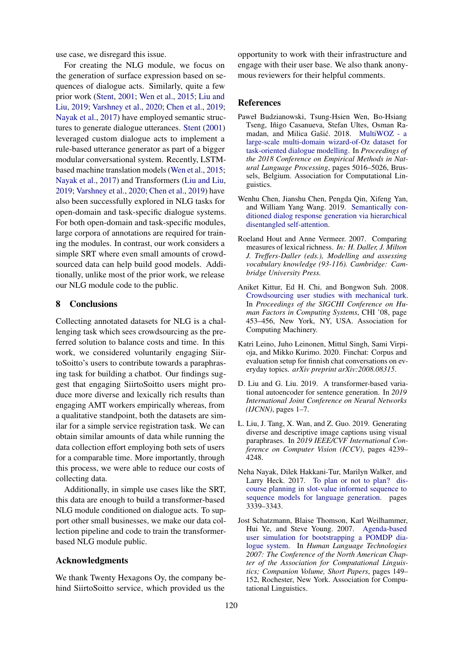use case, we disregard this issue.

For creating the NLG module, we focus on the generation of surface expression based on sequences of dialogue acts. Similarly, quite a few prior work [\(Stent,](#page-5-4) [2001;](#page-5-4) [Wen et al.,](#page-5-5) [2015;](#page-5-5) [Liu and](#page-4-6) [Liu,](#page-4-6) [2019;](#page-4-6) [Varshney et al.,](#page-5-6) [2020;](#page-5-6) [Chen et al.,](#page-4-7) [2019;](#page-4-7) [Nayak et al.,](#page-4-8) [2017\)](#page-4-8) have employed semantic structures to generate dialogue utterances. [Stent](#page-5-4) [\(2001\)](#page-5-4) leveraged custom dialogue acts to implement a rule-based utterance generator as part of a bigger modular conversational system. Recently, LSTMbased machine translation models [\(Wen et al.,](#page-5-5) [2015;](#page-5-5) [Nayak et al.,](#page-4-8) [2017\)](#page-4-8) and Transformers [\(Liu and Liu,](#page-4-6) [2019;](#page-4-6) [Varshney et al.,](#page-5-6) [2020;](#page-5-6) [Chen et al.,](#page-4-7) [2019\)](#page-4-7) have also been successfully explored in NLG tasks for open-domain and task-specific dialogue systems. For both open-domain and task-specific modules, large corpora of annotations are required for training the modules. In contrast, our work considers a simple SRT where even small amounts of crowdsourced data can help build good models. Additionally, unlike most of the prior work, we release our NLG module code to the public.

# 8 Conclusions

Collecting annotated datasets for NLG is a challenging task which sees crowdsourcing as the preferred solution to balance costs and time. In this work, we considered voluntarily engaging SiirtoSoitto's users to contribute towards a paraphrasing task for building a chatbot. Our findings suggest that engaging SiirtoSoitto users might produce more diverse and lexically rich results than engaging AMT workers empirically whereas, from a qualitative standpoint, both the datasets are similar for a simple service registration task. We can obtain similar amounts of data while running the data collection effort employing both sets of users for a comparable time. More importantly, through this process, we were able to reduce our costs of collecting data.

Additionally, in simple use cases like the SRT, this data are enough to build a transformer-based NLG module conditioned on dialogue acts. To support other small businesses, we make our data collection pipeline and code to train the transformerbased NLG module public.

# Acknowledgments

We thank Twenty Hexagons Oy, the company behind SiirtoSoitto service, which provided us the

opportunity to work with their infrastructure and engage with their user base. We also thank anonymous reviewers for their helpful comments.

### **References**

- <span id="page-4-5"></span>Paweł Budzianowski, Tsung-Hsien Wen, Bo-Hsiang Tseng, Iñigo Casanueva, Stefan Ultes, Osman Ra-madan, and Milica Gašić. 2018. [MultiWOZ - a](https://doi.org/10.18653/v1/D18-1547) [large-scale multi-domain wizard-of-Oz dataset for](https://doi.org/10.18653/v1/D18-1547) [task-oriented dialogue modelling.](https://doi.org/10.18653/v1/D18-1547) In *Proceedings of the 2018 Conference on Empirical Methods in Natural Language Processing*, pages 5016–5026, Brussels, Belgium. Association for Computational Linguistics.
- <span id="page-4-7"></span>Wenhu Chen, Jianshu Chen, Pengda Qin, Xifeng Yan, and William Yang Wang. 2019. [Semantically con](http://arxiv.org/abs/1905.12866)[ditioned dialog response generation via hierarchical](http://arxiv.org/abs/1905.12866) [disentangled self-attention.](http://arxiv.org/abs/1905.12866)
- <span id="page-4-2"></span>Roeland Hout and Anne Vermeer. 2007. Comparing measures of lexical richness. *In: H. Daller, J. Milton J. Treffers-Daller (eds.), Modelling and assessing vocabulary knowledge (93-116). Cambridge: Cambridge University Press.*
- <span id="page-4-4"></span>Aniket Kittur, Ed H. Chi, and Bongwon Suh. 2008. [Crowdsourcing user studies with mechanical turk.](https://doi.org/10.1145/1357054.1357127) In *Proceedings of the SIGCHI Conference on Human Factors in Computing Systems*, CHI '08, page 453–456, New York, NY, USA. Association for Computing Machinery.
- <span id="page-4-0"></span>Katri Leino, Juho Leinonen, Mittul Singh, Sami Virpioja, and Mikko Kurimo. 2020. Finchat: Corpus and evaluation setup for finnish chat conversations on everyday topics. *arXiv preprint arXiv:2008.08315*.
- <span id="page-4-6"></span>D. Liu and G. Liu. 2019. A transformer-based variational autoencoder for sentence generation. In *2019 International Joint Conference on Neural Networks (IJCNN)*, pages 1–7.
- <span id="page-4-3"></span>L. Liu, J. Tang, X. Wan, and Z. Guo. 2019. Generating diverse and descriptive image captions using visual paraphrases. In *2019 IEEE/CVF International Conference on Computer Vision (ICCV)*, pages 4239– 4248.
- <span id="page-4-8"></span>Neha Nayak, Dilek Hakkani-Tur, Marilyn Walker, and Larry Heck. 2017. [To plan or not to plan? dis](https://doi.org/10.21437/Interspeech.2017-1525)[course planning in slot-value informed sequence to](https://doi.org/10.21437/Interspeech.2017-1525) [sequence models for language generation.](https://doi.org/10.21437/Interspeech.2017-1525) pages 3339–3343.
- <span id="page-4-1"></span>Jost Schatzmann, Blaise Thomson, Karl Weilhammer, Hui Ye, and Steve Young. 2007. [Agenda-based](https://www.aclweb.org/anthology/N07-2038) [user simulation for bootstrapping a POMDP dia](https://www.aclweb.org/anthology/N07-2038)[logue system.](https://www.aclweb.org/anthology/N07-2038) In *Human Language Technologies 2007: The Conference of the North American Chapter of the Association for Computational Linguistics; Companion Volume, Short Papers*, pages 149– 152, Rochester, New York. Association for Computational Linguistics.